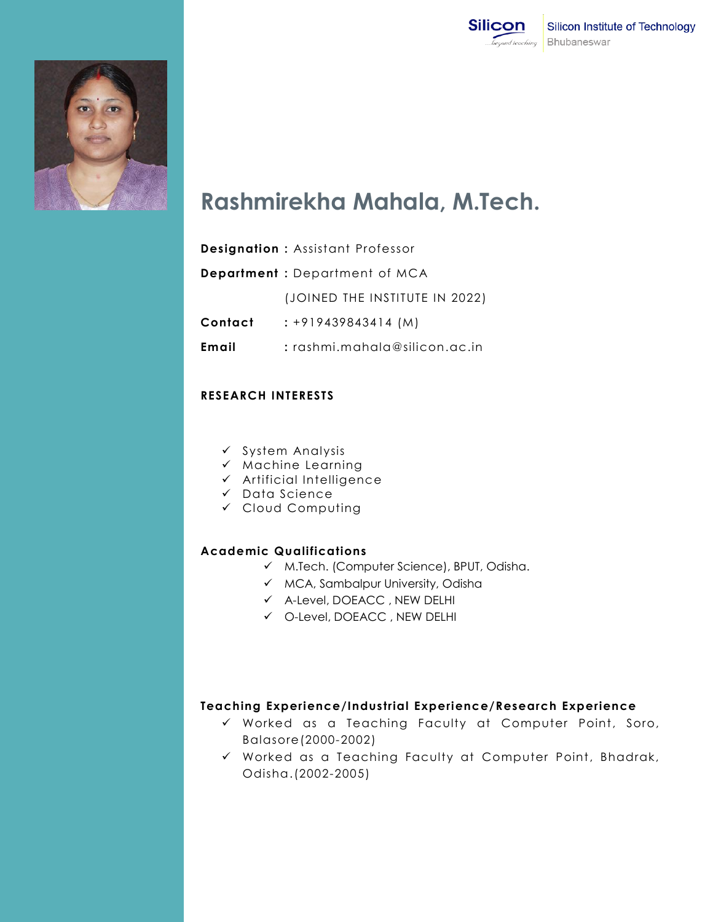



## **Rashmirekha Mahala, M.Tech.**

|         | <b>Designation: Assistant Professor</b> |
|---------|-----------------------------------------|
|         | <b>Department</b> : Department of MCA   |
|         | (JOINED THE INSTITUTE IN 2022)          |
| Contact | $: +919439843414$ (M)                   |
| Email   | $:$ $r$ ashmi.mahala@silicon.ac.in      |
|         |                                         |

## **RESEARCH INTERESTS**

- $\checkmark$  System Analysis
- $\times$  Machine Learning
- $\checkmark$  Artificial Intelligence
- $\checkmark$  Data Science
- Cloud Computing

## **Academic Qualifications**

- M.Tech. (Computer Science), BPUT, Odisha.
- $\checkmark$  MCA, Sambalpur University, Odisha
- A-Level, DOEACC , NEW DELHI
- O-Level, DOEACC , NEW DELHI

## **Teaching Experience/Industrial Experience/Research Experience**

- Worked as a Teaching Faculty at Computer Point, Soro, Balasore(2000-2002)
- Worked as a Teaching Faculty at Computer Point, Bhadrak, Odisha.(2002-2005)